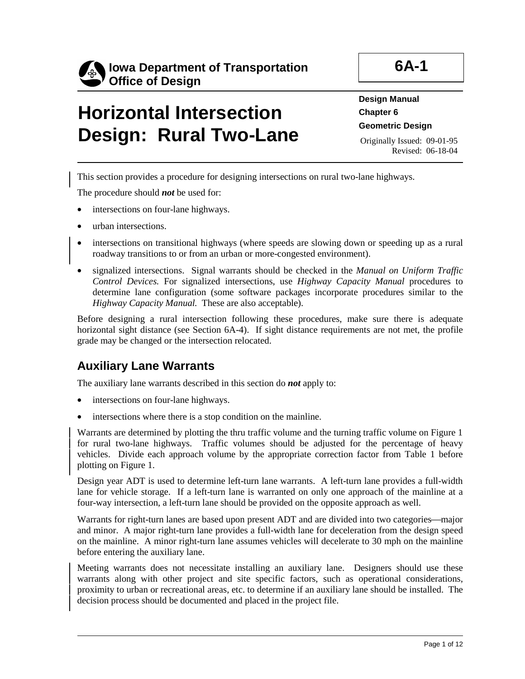

# **Horizontal Intersection Design: Rural Two-Lane**

**Design Manual Chapter 6 Geometric Design** 

Originally Issued: 09-01-95 Revised: 06-18-04

This section provides a procedure for designing intersections on rural two-lane highways.

The procedure should *not* be used for:

- intersections on four-lane highways.
- urban intersections.
- intersections on transitional highways (where speeds are slowing down or speeding up as a rural roadway transitions to or from an urban or more-congested environment).
- signalized intersections. Signal warrants should be checked in the *Manual on Uniform Traffic Control Devices.* For signalized intersections, use *Highway Capacity Manual* procedures to determine lane configuration (some software packages incorporate procedures similar to the *Highway Capacity Manual.* These are also acceptable).

Before designing a rural intersection following these procedures, make sure there is adequate horizontal sight distance (see Section 6A-4). If sight distance requirements are not met, the profile grade may be changed or the intersection relocated.

### **Auxiliary Lane Warrants**

The auxiliary lane warrants described in this section do *not* apply to:

- intersections on four-lane highways.
- intersections where there is a stop condition on the mainline.

Warrants are determined by plotting the thru traffic volume and the turning traffic volume on Figure 1 for rural two-lane highways. Traffic volumes should be adjusted for the percentage of heavy vehicles. Divide each approach volume by the appropriate correction factor from Table 1 before plotting on Figure 1.

Design year ADT is used to determine left-turn lane warrants. A left-turn lane provides a full-width lane for vehicle storage. If a left-turn lane is warranted on only one approach of the mainline at a four-way intersection, a left-turn lane should be provided on the opposite approach as well.

Warrants for right-turn lanes are based upon present ADT and are divided into two categories—major and minor. A major right-turn lane provides a full-width lane for deceleration from the design speed on the mainline. A minor right-turn lane assumes vehicles will decelerate to 30 mph on the mainline before entering the auxiliary lane.

Meeting warrants does not necessitate installing an auxiliary lane. Designers should use these warrants along with other project and site specific factors, such as operational considerations, proximity to urban or recreational areas, etc. to determine if an auxiliary lane should be installed. The decision process should be documented and placed in the project file.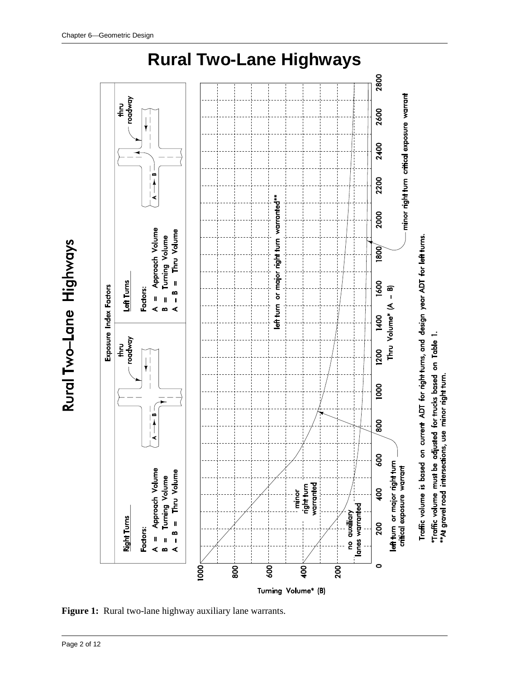

Rural Two-Lane Highways

**Figure 1:** Rural two-lane highway auxiliary lane warrants.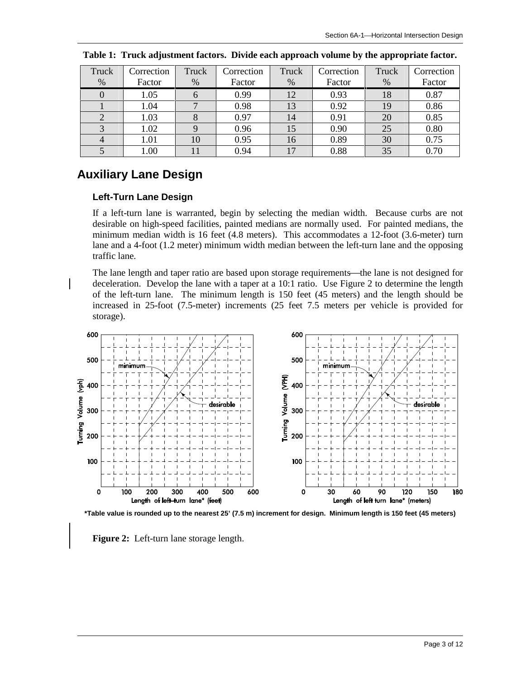| Truck          | Correction | Truck        | Correction | Truck | Correction | Truck | Correction |
|----------------|------------|--------------|------------|-------|------------|-------|------------|
| %              | Factor     | $\%$         | Factor     | $\%$  | Factor     | %     | Factor     |
| 0              | 1.05       | 6            | 0.99       | 12    | 0.93       | 18    | 0.87       |
|                | 1.04       | $\mathbf{r}$ | 0.98       | 13    | 0.92       | 19    | 0.86       |
| $\overline{2}$ | 1.03       | 8            | 0.97       | 14    | 0.91       | 20    | 0.85       |
| 3              | 1.02       | Q            | 0.96       | 15    | 0.90       | 25    | 0.80       |
| $\overline{4}$ | 1.01       | 10           | 0.95       | 16    | 0.89       | 30    | 0.75       |
|                | 1.00       |              | 0.94       | 17    | 0.88       | 35    | 0.70       |

**Table 1: Truck adjustment factors. Divide each approach volume by the appropriate factor.** 

### **Auxiliary Lane Design**

#### **Left-Turn Lane Design**

If a left-turn lane is warranted, begin by selecting the median width. Because curbs are not desirable on high-speed facilities, painted medians are normally used. For painted medians, the minimum median width is 16 feet (4.8 meters). This accommodates a 12-foot (3.6-meter) turn lane and a 4-foot (1.2 meter) minimum width median between the left-turn lane and the opposing traffic lane.

The lane length and taper ratio are based upon storage requirements—the lane is not designed for deceleration. Develop the lane with a taper at a 10:1 ratio. Use Figure 2 to determine the length of the left-turn lane. The minimum length is 150 feet (45 meters) and the length should be increased in 25-foot (7.5-meter) increments (25 feet 7.5 meters per vehicle is provided for storage).



**\*Table value is rounded up to the nearest 25' (7.5 m) increment for design. Minimum length is 150 feet (45 meters)** 

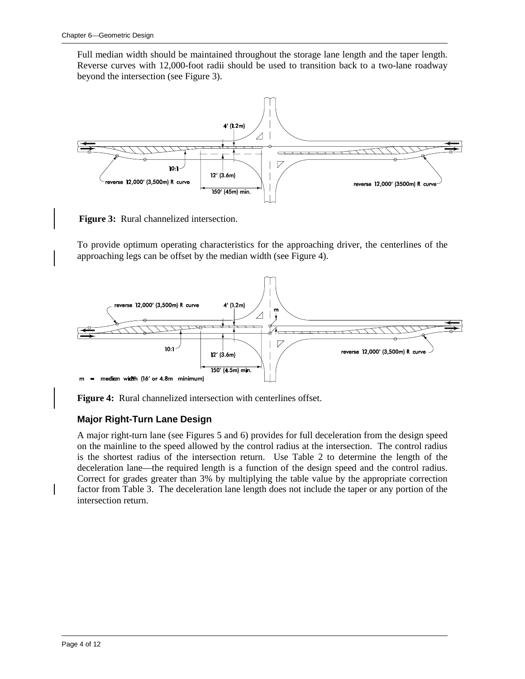Full median width should be maintained throughout the storage lane length and the taper length. Reverse curves with 12,000-foot radii should be used to transition back to a two-lane roadway beyond the intersection (see Figure 3).



**Figure 3:** Rural channelized intersection.

To provide optimum operating characteristics for the approaching driver, the centerlines of the approaching legs can be offset by the median width (see Figure 4).



**Figure 4:** Rural channelized intersection with centerlines offset.

#### **Major Right-Turn Lane Design**

A major right-turn lane (see Figures 5 and 6) provides for full deceleration from the design speed on the mainline to the speed allowed by the control radius at the intersection. The control radius is the shortest radius of the intersection return. Use Table 2 to determine the length of the deceleration lane—the required length is a function of the design speed and the control radius. Correct for grades greater than 3% by multiplying the table value by the appropriate correction factor from Table 3. The deceleration lane length does not include the taper or any portion of the intersection return.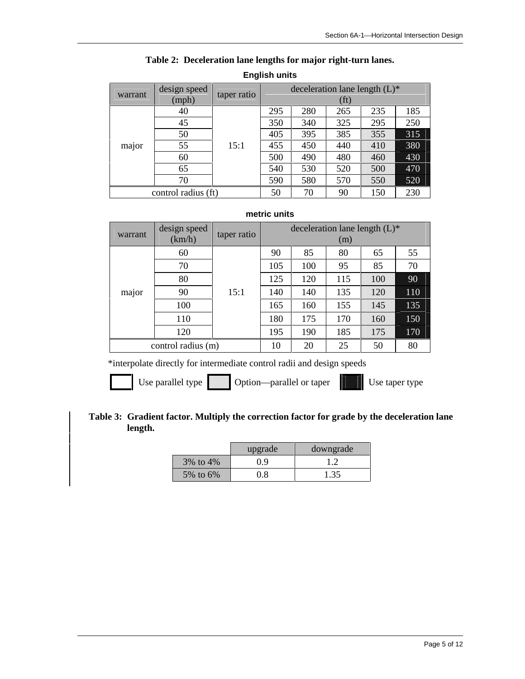| warrant             | design speed<br>(mph) | taper ratio | deceleration lane length $(L)^*$<br>(ft) |     |     |     |     |
|---------------------|-----------------------|-------------|------------------------------------------|-----|-----|-----|-----|
|                     | 40                    | 15:1        | 295                                      | 280 | 265 | 235 | 185 |
|                     | 45                    |             | 350                                      | 340 | 325 | 295 | 250 |
| major               | 50                    |             | 405                                      | 395 | 385 | 355 | 315 |
|                     | 55                    |             | 455                                      | 450 | 440 | 410 | 380 |
|                     | 60                    |             | 500                                      | 490 | 480 | 460 | 430 |
|                     | 65                    |             | 540                                      | 530 | 520 | 500 | 470 |
|                     | 70                    |             | 590                                      | 580 | 570 | 550 | 520 |
| control radius (ft) |                       | 50          | 70                                       | 90  | 150 | 230 |     |

#### **Table 2: Deceleration lane lengths for major right-turn lanes.**

#### **English units**

#### **metric units**

| warrant            | design speed | taper ratio | deceleration lane length $(L)^*$ |     |     |     |     |  |
|--------------------|--------------|-------------|----------------------------------|-----|-----|-----|-----|--|
|                    | (km/h)       |             |                                  |     | (m) |     |     |  |
|                    | 60           | 15:1        | 90                               | 85  | 80  | 65  | 55  |  |
|                    | 70           |             | 105                              | 100 | 95  | 85  | 70  |  |
|                    | 80           |             | 125                              | 120 | 115 | 100 | 90  |  |
| major              | 90           |             | 140                              | 140 | 135 | 120 | 110 |  |
|                    | 100          |             | 165                              | 160 | 155 | 145 | 135 |  |
|                    | 110          |             | 180                              | 175 | 170 | 160 | 150 |  |
|                    | 120          |             | 195                              | 190 | 185 | 175 | 170 |  |
| control radius (m) |              | 10          | 20                               | 25  | 50  | 80  |     |  |

\*interpolate directly for intermediate control radii and design speeds

Use parallel type Option—parallel or taper Use taper type

#### **Table 3: Gradient factor. Multiply the correction factor for grade by the deceleration lane length.**

|                | upgrade | downgrade |
|----------------|---------|-----------|
| $3\%$ to $4\%$ | 0.9     |           |
| 5% to 6%       | 0.8     | 1.35      |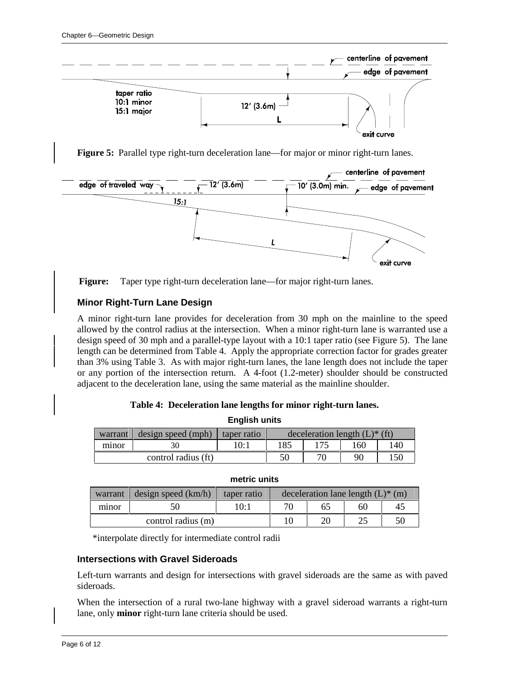

**Figure 5:** Parallel type right-turn deceleration lane—for major or minor right-turn lanes.





#### **Minor Right-Turn Lane Design**

A minor right-turn lane provides for deceleration from 30 mph on the mainline to the speed allowed by the control radius at the intersection. When a minor right-turn lane is warranted use a design speed of 30 mph and a parallel-type layout with a 10:1 taper ratio (see Figure 5). The lane length can be determined from Table 4. Apply the appropriate correction factor for grades greater than 3% using Table 3. As with major right-turn lanes, the lane length does not include the taper or any portion of the intersection return. A 4-foot (1.2-meter) shoulder should be constructed adjacent to the deceleration lane, using the same material as the mainline shoulder.

#### **Table 4: Deceleration lane lengths for minor right-turn lanes. English units**

| ----------------    |                    |             |                                             |  |     |     |  |  |  |  |
|---------------------|--------------------|-------------|---------------------------------------------|--|-----|-----|--|--|--|--|
| warrant             | design speed (mph) | taper ratio | deceleration length $(L)$ <sup>*</sup> (ft) |  |     |     |  |  |  |  |
| minor               |                    | 1∩∙1        | 185                                         |  | 160 | 140 |  |  |  |  |
| control radius (ft) |                    |             | 50                                          |  | 90  |     |  |  |  |  |

| warrant            | design speed (km/h) | taper ratio | deceleration lane length $(L)$ <sup>*</sup> (m) |    |    |    |  |
|--------------------|---------------------|-------------|-------------------------------------------------|----|----|----|--|
| minor              |                     | 10:1        | 70                                              | 65 | 60 |    |  |
| control radius (m) |                     |             |                                                 | 20 | つよ | 50 |  |

#### **metric units**

\*interpolate directly for intermediate control radii

#### **Intersections with Gravel Sideroads**

Left-turn warrants and design for intersections with gravel sideroads are the same as with paved sideroads.

When the intersection of a rural two-lane highway with a gravel sideroad warrants a right-turn lane, only **minor** right-turn lane criteria should be used.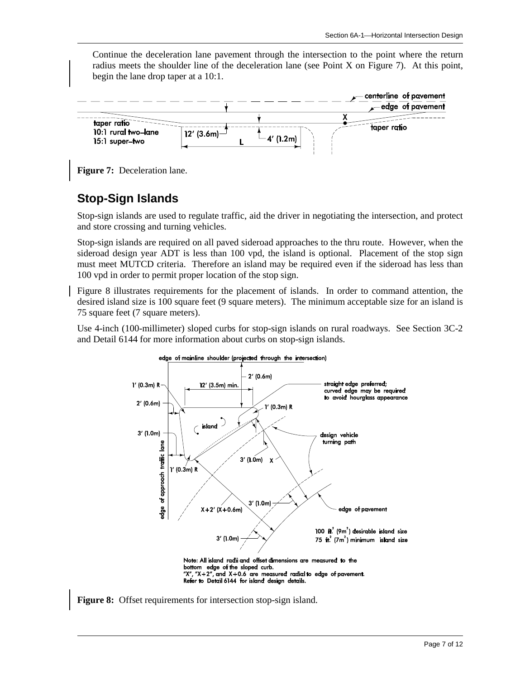Continue the deceleration lane pavement through the intersection to the point where the return radius meets the shoulder line of the deceleration lane (see Point X on Figure 7). At this point, begin the lane drop taper at a 10:1.



**Figure 7:** Deceleration lane.

### **Stop-Sign Islands**

Stop-sign islands are used to regulate traffic, aid the driver in negotiating the intersection, and protect and store crossing and turning vehicles.

Stop-sign islands are required on all paved sideroad approaches to the thru route. However, when the sideroad design year ADT is less than 100 vpd, the island is optional. Placement of the stop sign must meet MUTCD criteria. Therefore an island may be required even if the sideroad has less than 100 vpd in order to permit proper location of the stop sign.

Figure 8 illustrates requirements for the placement of islands. In order to command attention, the desired island size is 100 square feet (9 square meters). The minimum acceptable size for an island is 75 square feet (7 square meters).

Use 4-inch (100-millimeter) sloped curbs for stop-sign islands on rural roadways. See Section 3C-2 and Detail 6144 for more information about curbs on stop-sign islands.



**Figure 8:** Offset requirements for intersection stop-sign island.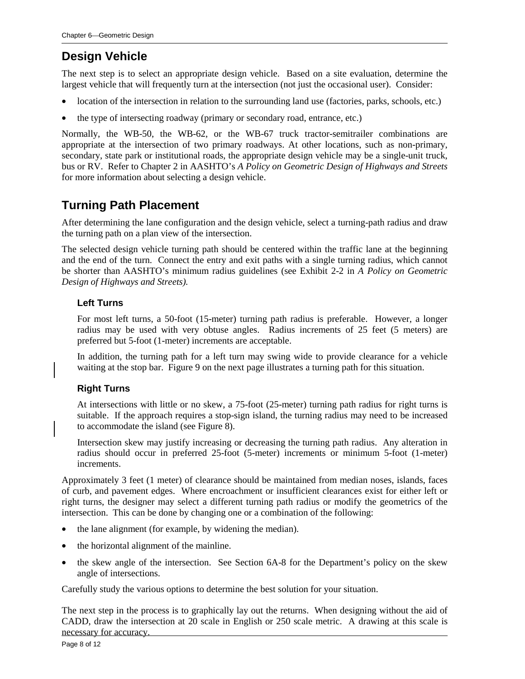# **Design Vehicle**

The next step is to select an appropriate design vehicle. Based on a site evaluation, determine the largest vehicle that will frequently turn at the intersection (not just the occasional user). Consider:

- location of the intersection in relation to the surrounding land use (factories, parks, schools, etc.)
- the type of intersecting roadway (primary or secondary road, entrance, etc.)

Normally, the WB-50, the WB-62, or the WB-67 truck tractor-semitrailer combinations are appropriate at the intersection of two primary roadways. At other locations, such as non-primary, secondary, state park or institutional roads, the appropriate design vehicle may be a single-unit truck, bus or RV. Refer to Chapter 2 in AASHTO's *A Policy on Geometric Design of Highways and Streets* for more information about selecting a design vehicle.

### **Turning Path Placement**

After determining the lane configuration and the design vehicle, select a turning-path radius and draw the turning path on a plan view of the intersection.

The selected design vehicle turning path should be centered within the traffic lane at the beginning and the end of the turn. Connect the entry and exit paths with a single turning radius, which cannot be shorter than AASHTO's minimum radius guidelines (see Exhibit 2-2 in *A Policy on Geometric Design of Highways and Streets).* 

#### **Left Turns**

For most left turns, a 50-foot (15-meter) turning path radius is preferable. However, a longer radius may be used with very obtuse angles. Radius increments of 25 feet (5 meters) are preferred but 5-foot (1-meter) increments are acceptable.

In addition, the turning path for a left turn may swing wide to provide clearance for a vehicle waiting at the stop bar. Figure 9 on the next page illustrates a turning path for this situation.

#### **Right Turns**

At intersections with little or no skew, a 75-foot (25-meter) turning path radius for right turns is suitable. If the approach requires a stop-sign island, the turning radius may need to be increased to accommodate the island (see Figure 8).

Intersection skew may justify increasing or decreasing the turning path radius. Any alteration in radius should occur in preferred 25-foot (5-meter) increments or minimum 5-foot (1-meter) increments.

Approximately 3 feet (1 meter) of clearance should be maintained from median noses, islands, faces of curb, and pavement edges. Where encroachment or insufficient clearances exist for either left or right turns, the designer may select a different turning path radius or modify the geometrics of the intersection. This can be done by changing one or a combination of the following:

- the lane alignment (for example, by widening the median).
- the horizontal alignment of the mainline.
- the skew angle of the intersection. See Section 6A-8 for the Department's policy on the skew angle of intersections.

Carefully study the various options to determine the best solution for your situation.

The next step in the process is to graphically lay out the returns. When designing without the aid of CADD, draw the intersection at 20 scale in English or 250 scale metric. A drawing at this scale is necessary for accuracy.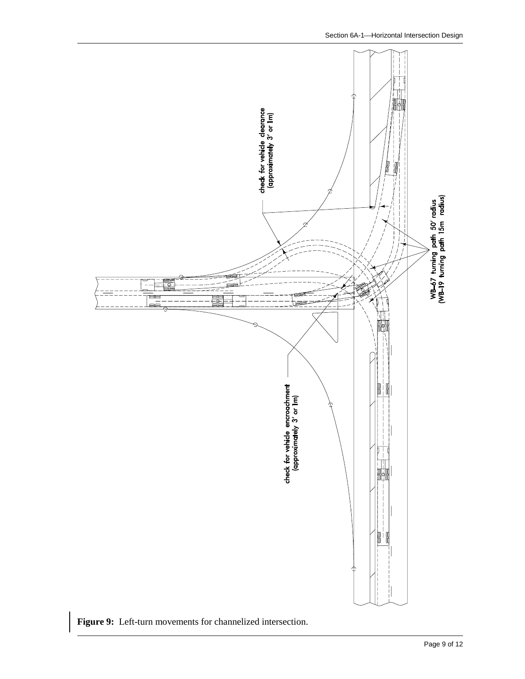

**Figure 9:** Left-turn movements for channelized intersection.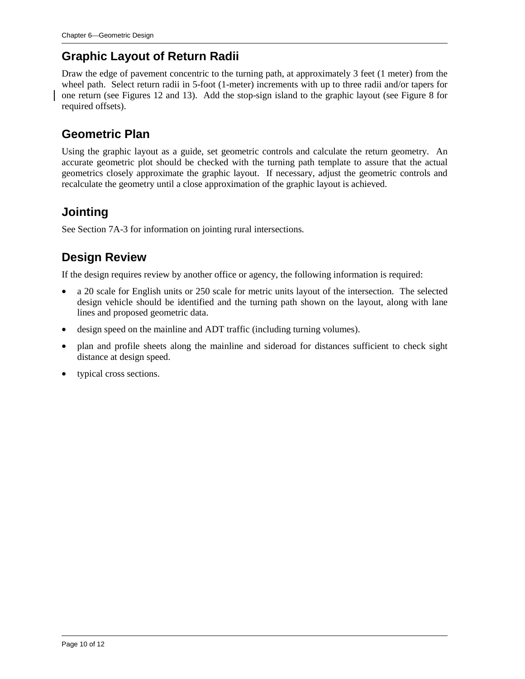# **Graphic Layout of Return Radii**

Draw the edge of pavement concentric to the turning path, at approximately 3 feet (1 meter) from the wheel path. Select return radii in 5-foot (1-meter) increments with up to three radii and/or tapers for one return (see Figures 12 and 13). Add the stop-sign island to the graphic layout (see Figure 8 for required offsets).

## **Geometric Plan**

Using the graphic layout as a guide, set geometric controls and calculate the return geometry. An accurate geometric plot should be checked with the turning path template to assure that the actual geometrics closely approximate the graphic layout. If necessary, adjust the geometric controls and recalculate the geometry until a close approximation of the graphic layout is achieved.

# **Jointing**

See Section 7A-3 for information on jointing rural intersections.

# **Design Review**

If the design requires review by another office or agency, the following information is required:

- a 20 scale for English units or 250 scale for metric units layout of the intersection. The selected design vehicle should be identified and the turning path shown on the layout, along with lane lines and proposed geometric data.
- design speed on the mainline and ADT traffic (including turning volumes).
- plan and profile sheets along the mainline and sideroad for distances sufficient to check sight distance at design speed.
- typical cross sections.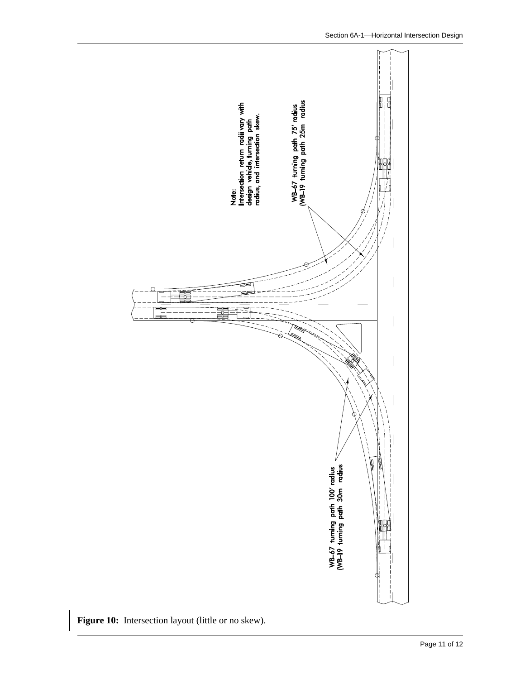

Figure 10: Intersection layout (little or no skew).